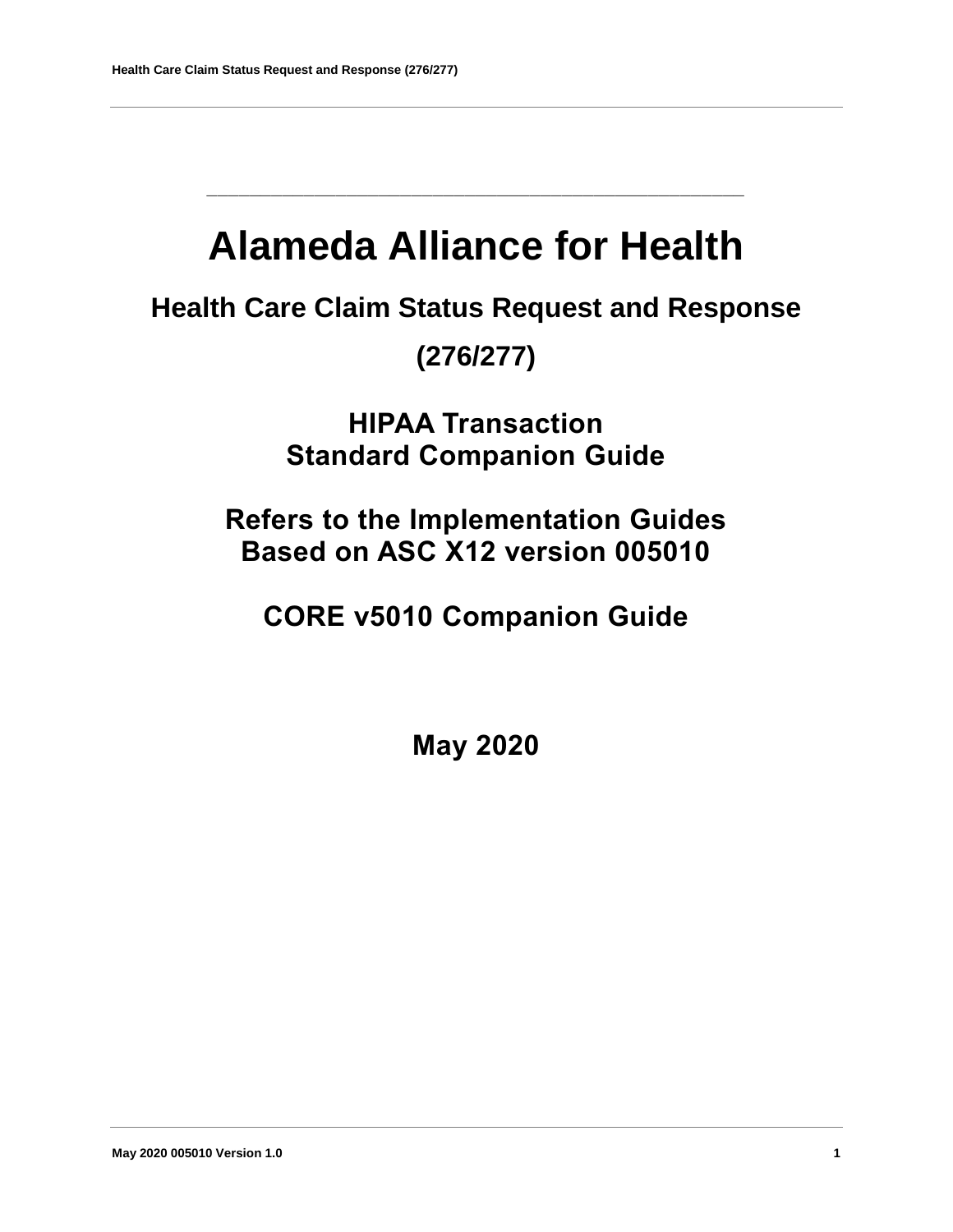# **Alameda Alliance for Health**

**\_\_\_\_\_\_\_\_\_\_\_\_\_\_\_\_\_\_\_\_\_\_\_\_\_\_\_\_\_\_\_\_\_\_\_\_\_\_\_\_\_\_\_\_\_\_\_\_\_\_**

**Health Care Claim Status Request and Response** 

**(276/277)**

**HIPAA Transaction Standard Companion Guide**

**Refers to the Implementation Guides Based on ASC X12 version 005010**

**CORE v5010 Companion Guide**

**May 2020**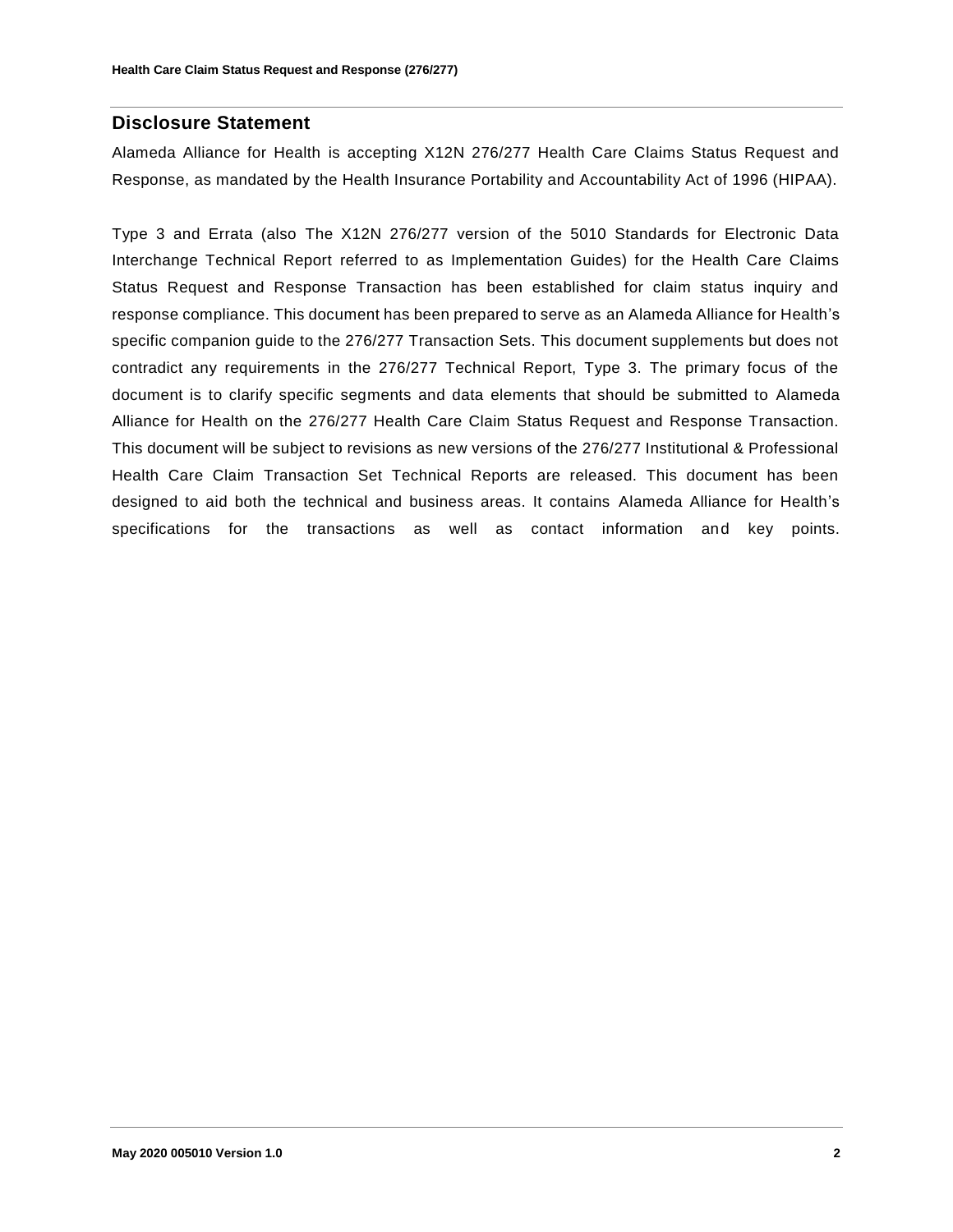#### **Disclosure Statement**

Alameda Alliance for Health is accepting X12N 276/277 Health Care Claims Status Request and Response, as mandated by the Health Insurance Portability and Accountability Act of 1996 (HIPAA).

Type 3 and Errata (also The X12N 276/277 version of the 5010 Standards for Electronic Data Interchange Technical Report referred to as Implementation Guides) for the Health Care Claims Status Request and Response Transaction has been established for claim status inquiry and response compliance. This document has been prepared to serve as an Alameda Alliance for Health's specific companion guide to the 276/277 Transaction Sets. This document supplements but does not contradict any requirements in the 276/277 Technical Report, Type 3. The primary focus of the document is to clarify specific segments and data elements that should be submitted to Alameda Alliance for Health on the 276/277 Health Care Claim Status Request and Response Transaction. This document will be subject to revisions as new versions of the 276/277 Institutional & Professional Health Care Claim Transaction Set Technical Reports are released. This document has been designed to aid both the technical and business areas. It contains Alameda Alliance for Health's specifications for the transactions as well as contact information and key points.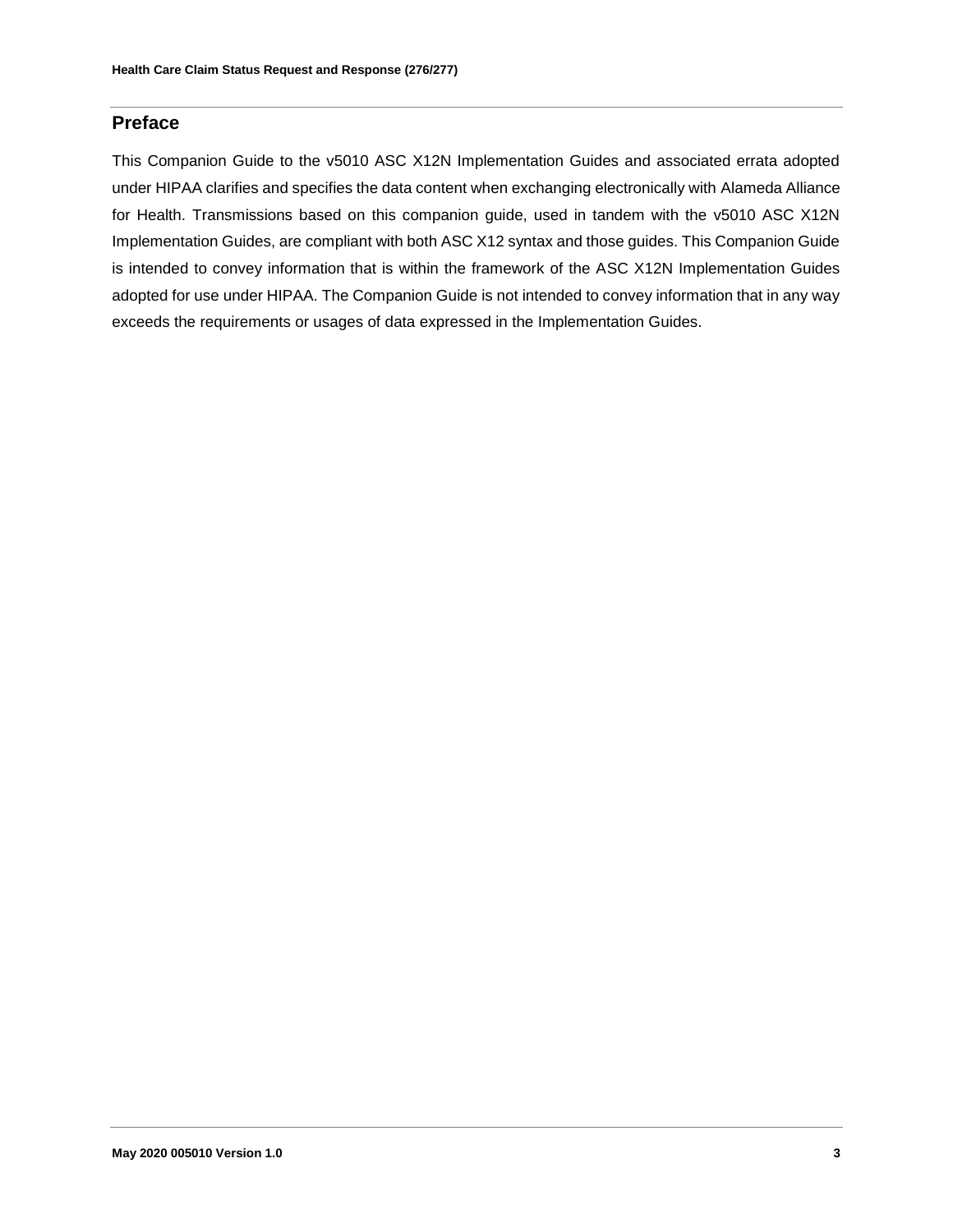#### **Preface**

This Companion Guide to the v5010 ASC X12N Implementation Guides and associated errata adopted under HIPAA clarifies and specifies the data content when exchanging electronically with Alameda Alliance for Health. Transmissions based on this companion guide, used in tandem with the v5010 ASC X12N Implementation Guides, are compliant with both ASC X12 syntax and those guides. This Companion Guide is intended to convey information that is within the framework of the ASC X12N Implementation Guides adopted for use under HIPAA. The Companion Guide is not intended to convey information that in any way exceeds the requirements or usages of data expressed in the Implementation Guides.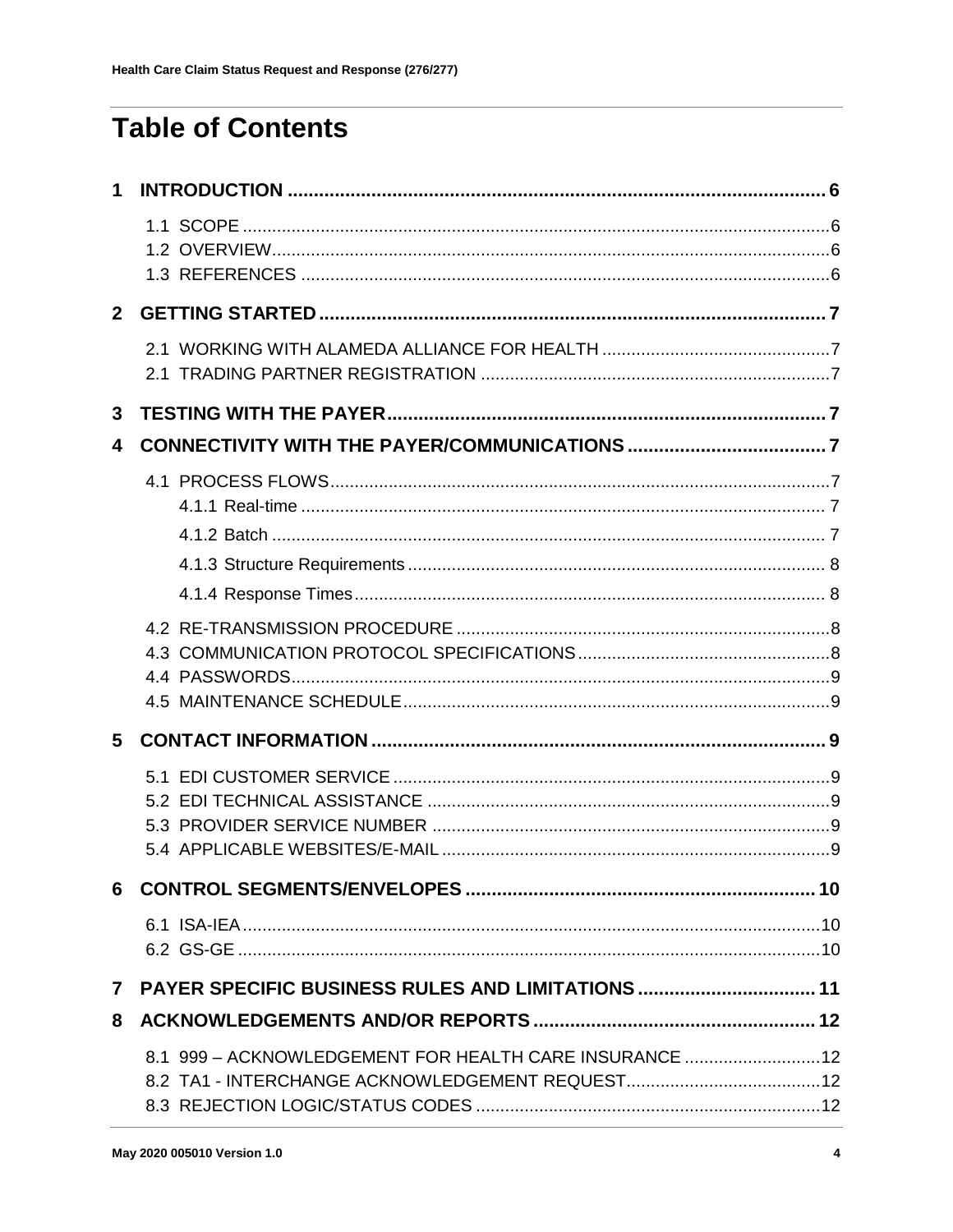## **Table of Contents**

| $2^{\circ}$    |                                                        |  |
|----------------|--------------------------------------------------------|--|
|                | 2.1                                                    |  |
| 3              |                                                        |  |
| 4              |                                                        |  |
|                |                                                        |  |
|                |                                                        |  |
|                |                                                        |  |
|                |                                                        |  |
|                |                                                        |  |
|                |                                                        |  |
| 5              |                                                        |  |
|                |                                                        |  |
|                |                                                        |  |
|                |                                                        |  |
| $7\phantom{.}$ | PAYER SPECIFIC BUSINESS RULES AND LIMITATIONS  11      |  |
| 8              |                                                        |  |
|                | 8.1 999 - ACKNOWLEDGEMENT FOR HEALTH CARE INSURANCE 12 |  |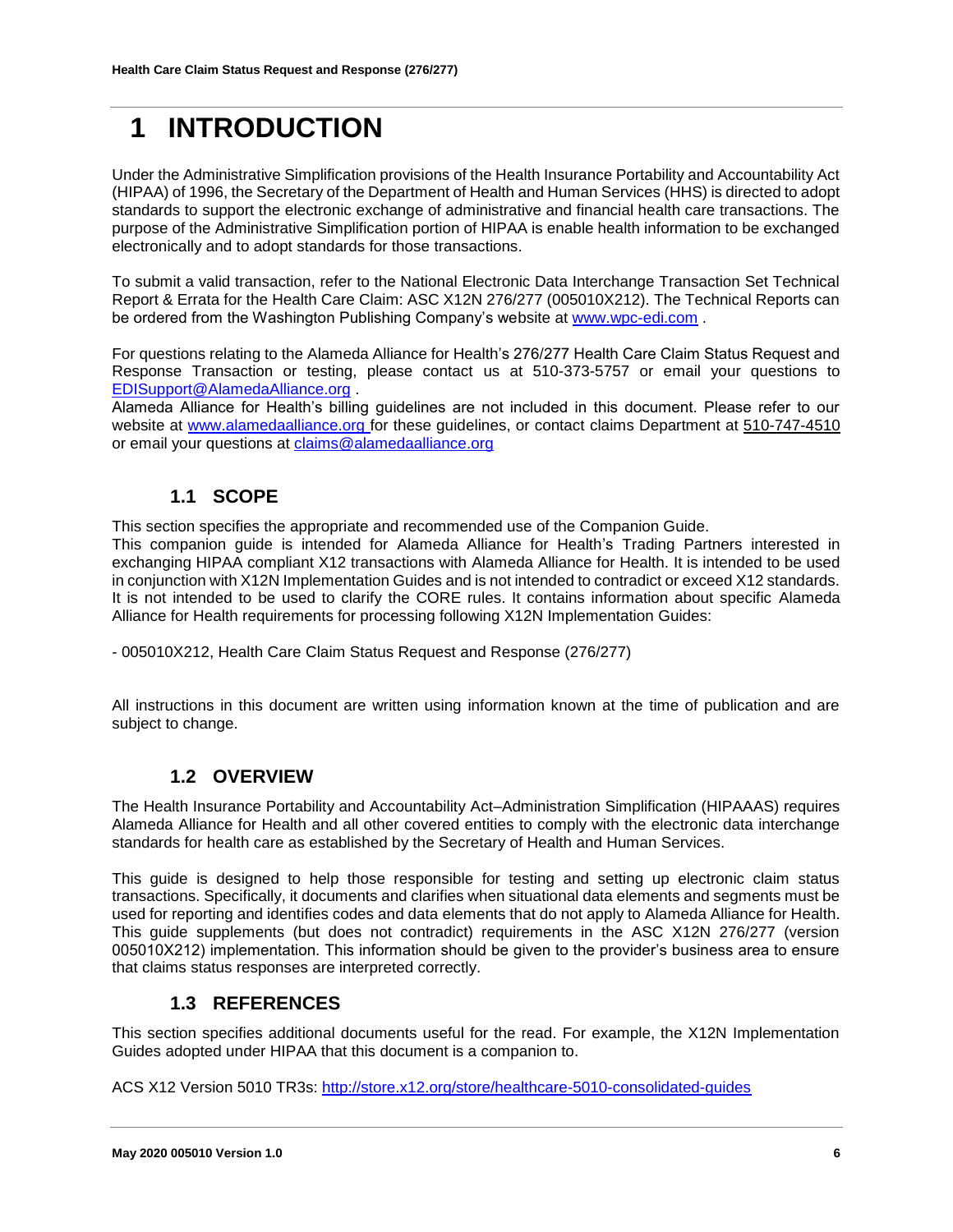## <span id="page-5-0"></span>**1 INTRODUCTION**

Under the Administrative Simplification provisions of the Health Insurance Portability and Accountability Act (HIPAA) of 1996, the Secretary of the Department of Health and Human Services (HHS) is directed to adopt standards to support the electronic exchange of administrative and financial health care transactions. The purpose of the Administrative Simplification portion of HIPAA is enable health information to be exchanged electronically and to adopt standards for those transactions.

To submit a valid transaction, refer to the National Electronic Data Interchange Transaction Set Technical Report & Errata for the Health Care Claim: ASC X12N 276/277 (005010X212). The Technical Reports can be ordered from the Washington Publishing Company's website a[t www.wpc-edi.com](http://www.wpc-edi.com/) .

For questions relating to the Alameda Alliance for Health's 276/277 Health Care Claim Status Request and Response Transaction or testing, please contact us at 510-373-5757 or email your questions to [EDISupport@AlamedaAlliance.org](mailto:EDISupport@AlamedaAlliance.org) .

Alameda Alliance for Health's billing guidelines are not included in this document. Please refer to our website at [www.alamedaalliance.org](http://www.alamedaalliance.org/) for these guidelines, or contact claims Department at 510-747-4510 or email your questions at [claims@alamedaalliance.org](mailto:claims@alamedaalliance.org)

## **1.1 SCOPE**

<span id="page-5-1"></span>This section specifies the appropriate and recommended use of the Companion Guide.

This companion guide is intended for Alameda Alliance for Health's Trading Partners interested in exchanging HIPAA compliant X12 transactions with Alameda Alliance for Health. It is intended to be used in conjunction with X12N Implementation Guides and is not intended to contradict or exceed X12 standards. It is not intended to be used to clarify the CORE rules. It contains information about specific Alameda Alliance for Health requirements for processing following X12N Implementation Guides:

- 005010X212, Health Care Claim Status Request and Response (276/277)

All instructions in this document are written using information known at the time of publication and are subject to change.

### **1.2 OVERVIEW**

<span id="page-5-2"></span>The Health Insurance Portability and Accountability Act–Administration Simplification (HIPAAAS) requires Alameda Alliance for Health and all other covered entities to comply with the electronic data interchange standards for health care as established by the Secretary of Health and Human Services.

This guide is designed to help those responsible for testing and setting up electronic claim status transactions. Specifically, it documents and clarifies when situational data elements and segments must be used for reporting and identifies codes and data elements that do not apply to Alameda Alliance for Health. This guide supplements (but does not contradict) requirements in the ASC X12N 276/277 (version 005010X212) implementation. This information should be given to the provider's business area to ensure that claims status responses are interpreted correctly.

#### **1.3 REFERENCES**

<span id="page-5-3"></span>This section specifies additional documents useful for the read. For example, the X12N Implementation Guides adopted under HIPAA that this document is a companion to.

ACS X12 Version 5010 TR3s:<http://store.x12.org/store/healthcare-5010-consolidated-guides>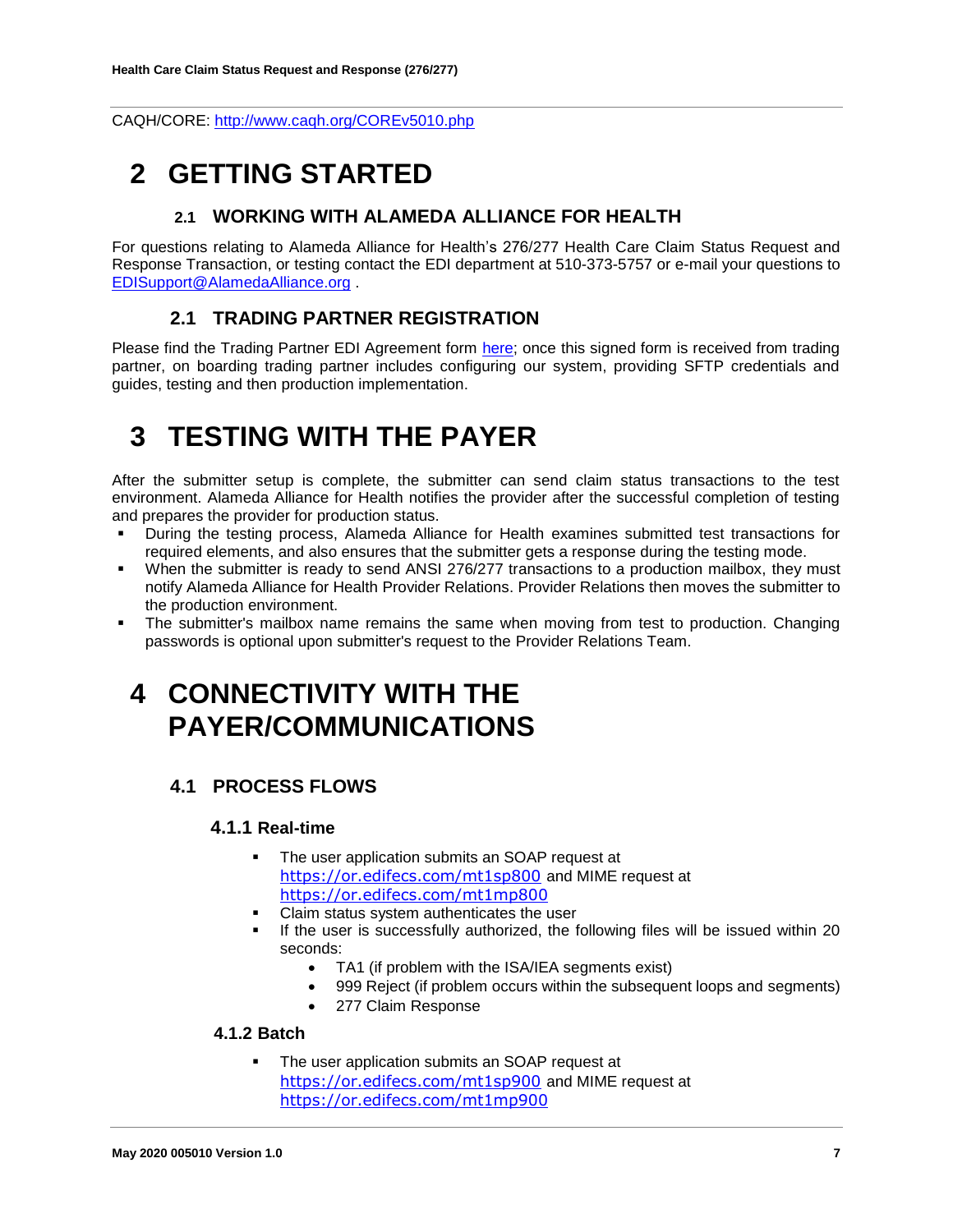<span id="page-6-0"></span>CAQH/CORE:<http://www.caqh.org/COREv5010.php>

## <span id="page-6-1"></span>**2 GETTING STARTED**

#### **2.1 WORKING WITH ALAMEDA ALLIANCE FOR HEALTH**

For questions relating to Alameda Alliance for Health's 276/277 Health Care Claim Status Request and Response Transaction, or testing contact the EDI department at 510-373-5757 or e-mail your questions to [EDISupport@AlamedaAlliance.org](mailto:EDISupport@AlamedaAlliance.org) .

### **2.1 TRADING PARTNER REGISTRATION**

<span id="page-6-2"></span>Please find the Trading Partner EDI Agreement form [here;](https://www.alamedaalliance.org/~/media/files/modules/publications/provider/edi%20enrollment_trading%20partner%20agreement.pdf) once this signed form is received from trading partner, on boarding trading partner includes configuring our system, providing SFTP credentials and guides, testing and then production implementation.

## <span id="page-6-3"></span>**3 TESTING WITH THE PAYER**

After the submitter setup is complete, the submitter can send claim status transactions to the test environment. Alameda Alliance for Health notifies the provider after the successful completion of testing and prepares the provider for production status.

- During the testing process, Alameda Alliance for Health examines submitted test transactions for required elements, and also ensures that the submitter gets a response during the testing mode.
- When the submitter is ready to send ANSI 276/277 transactions to a production mailbox, they must notify Alameda Alliance for Health Provider Relations. Provider Relations then moves the submitter to the production environment.
- <span id="page-6-4"></span> The submitter's mailbox name remains the same when moving from test to production. Changing passwords is optional upon submitter's request to the Provider Relations Team.

## **4 CONNECTIVITY WITH THE PAYER/COMMUNICATIONS**

## <span id="page-6-6"></span><span id="page-6-5"></span>**4.1 PROCESS FLOWS**

#### **4.1.1 Real-time**

- **The user application submits an SOAP request at** <https://or.edifecs.com/mt1sp800> and MIME request at <https://or.edifecs.com/mt1mp800>
- Claim status system authenticates the user
- If the user is successfully authorized, the following files will be issued within 20 seconds:
	- TA1 (if problem with the ISA/IEA segments exist)
	- 999 Reject (if problem occurs within the subsequent loops and segments)
	- 277 Claim Response

#### <span id="page-6-7"></span>**4.1.2 Batch**

 The user application submits an SOAP request at <https://or.edifecs.com/mt1sp900> and MIME request at <https://or.edifecs.com/mt1mp900>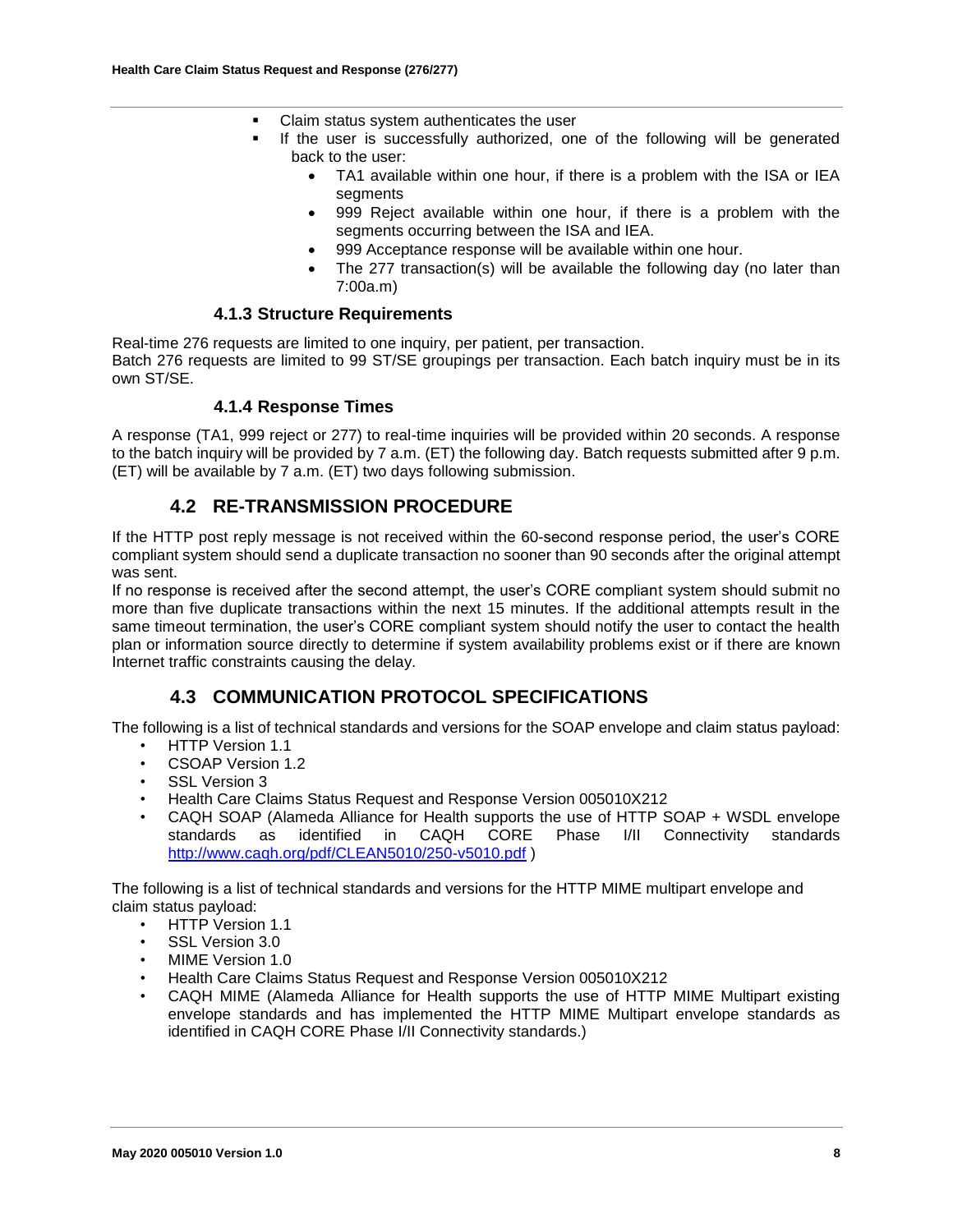- Claim status system authenticates the user
	- If the user is successfully authorized, one of the following will be generated back to the user:
		- TA1 available within one hour, if there is a problem with the ISA or IEA segments
		- 999 Reject available within one hour, if there is a problem with the segments occurring between the ISA and IEA.
		- 999 Acceptance response will be available within one hour.
		- The 277 transaction(s) will be available the following day (no later than 7:00a.m)

#### **4.1.3 Structure Requirements**

<span id="page-7-0"></span>Real-time 276 requests are limited to one inquiry, per patient, per transaction. Batch 276 requests are limited to 99 ST/SE groupings per transaction. Each batch inquiry must be in its own ST/SE.

#### **4.1.4 Response Times**

<span id="page-7-1"></span>A response (TA1, 999 reject or 277) to real-time inquiries will be provided within 20 seconds. A response to the batch inquiry will be provided by 7 a.m. (ET) the following day. Batch requests submitted after 9 p.m. (ET) will be available by 7 a.m. (ET) two days following submission.

#### **4.2 RE-TRANSMISSION PROCEDURE**

<span id="page-7-2"></span>If the HTTP post reply message is not received within the 60-second response period, the user's CORE compliant system should send a duplicate transaction no sooner than 90 seconds after the original attempt was sent.

If no response is received after the second attempt, the user's CORE compliant system should submit no more than five duplicate transactions within the next 15 minutes. If the additional attempts result in the same timeout termination, the user's CORE compliant system should notify the user to contact the health plan or information source directly to determine if system availability problems exist or if there are known Internet traffic constraints causing the delay.

### **4.3 COMMUNICATION PROTOCOL SPECIFICATIONS**

<span id="page-7-3"></span>The following is a list of technical standards and versions for the SOAP envelope and claim status payload:

- HTTP Version 1.1
- CSOAP Version 1.2
- SSL Version 3
- Health Care Claims Status Request and Response Version 005010X212
- CAQH SOAP (Alameda Alliance for Health supports the use of HTTP SOAP + WSDL envelope standards as identified in CAQH CORE Phase I/II Connectivity standards <http://www.caqh.org/pdf/CLEAN5010/250-v5010.pdf> )

The following is a list of technical standards and versions for the HTTP MIME multipart envelope and claim status payload:

- HTTP Version 1.1
- SSL Version 3.0
- MIME Version 1.0
- Health Care Claims Status Request and Response Version 005010X212
- CAQH MIME (Alameda Alliance for Health supports the use of HTTP MIME Multipart existing envelope standards and has implemented the HTTP MIME Multipart envelope standards as identified in CAQH CORE Phase I/II Connectivity standards.)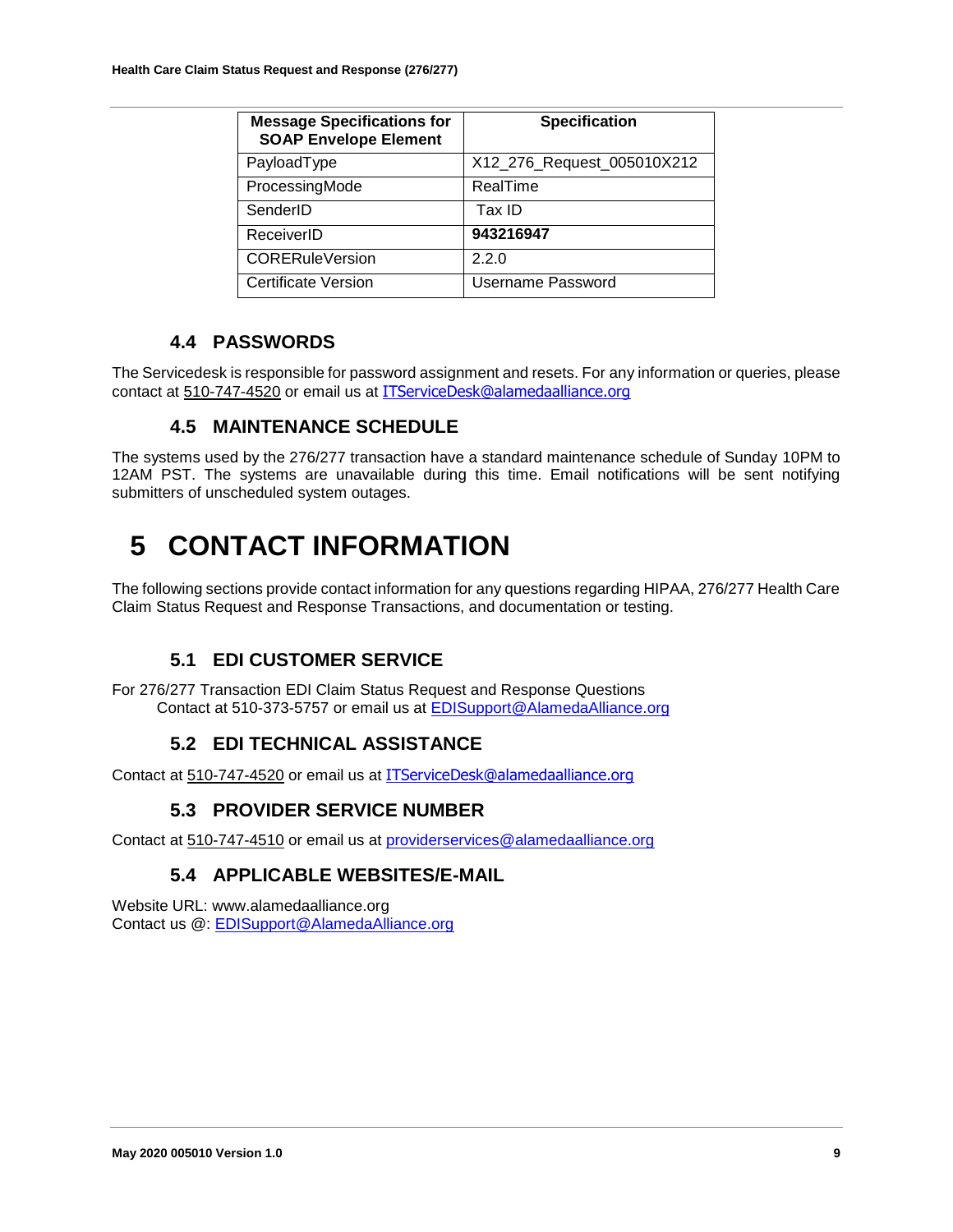| <b>Message Specifications for</b><br><b>SOAP Envelope Element</b> | <b>Specification</b>       |
|-------------------------------------------------------------------|----------------------------|
| PayloadType                                                       | X12_276_Request_005010X212 |
| ProcessingMode                                                    | RealTime                   |
| SenderID                                                          | Tax ID                     |
| ReceiverID                                                        | 943216947                  |
| <b>CORERuleVersion</b>                                            | 2.2.0                      |
| Certificate Version                                               | Username Password          |

### **4.4 PASSWORDS**

<span id="page-8-1"></span><span id="page-8-0"></span>The Servicedesk is responsible for password assignment and resets. For any information or queries, please contact at 510-747-4520 or email us at [ITServiceDesk@alamedaalliance.org](mailto:ITServiceDesk@alamedaalliance.org)

### **4.5 MAINTENANCE SCHEDULE**

The systems used by the 276/277 transaction have a standard maintenance schedule of Sunday 10PM to 12AM PST. The systems are unavailable during this time. Email notifications will be sent notifying submitters of unscheduled system outages.

## <span id="page-8-2"></span>**5 CONTACT INFORMATION**

The following sections provide contact information for any questions regarding HIPAA, 276/277 Health Care Claim Status Request and Response Transactions, and documentation or testing.

## **5.1 EDI CUSTOMER SERVICE**

<span id="page-8-4"></span><span id="page-8-3"></span>For 276/277 Transaction EDI Claim Status Request and Response Questions Contact at 510-373-5757 or email us at [EDISupport@AlamedaAlliance.org](mailto:EDISupport@AlamedaAlliance.org)

## **5.2 EDI TECHNICAL ASSISTANCE**

<span id="page-8-5"></span>Contact at 510-747-4520 or email us at [ITServiceDesk@alamedaalliance.org](mailto:ITServiceDesk@alamedaalliance.org)

## **5.3 PROVIDER SERVICE NUMBER**

<span id="page-8-6"></span>Contact at 510-747-4510 or email us at [providerservices@alamedaalliance.org](mailto:providerservices@alamedaalliance.org)

## **5.4 APPLICABLE WEBSITES/E-MAIL**

Website URL: [www.alamedaalliance.org](http://www.alamedaalliance.org/) Contact us @: [EDISupport@AlamedaAlliance.org](mailto:EDISupport@AlamedaAlliance.org)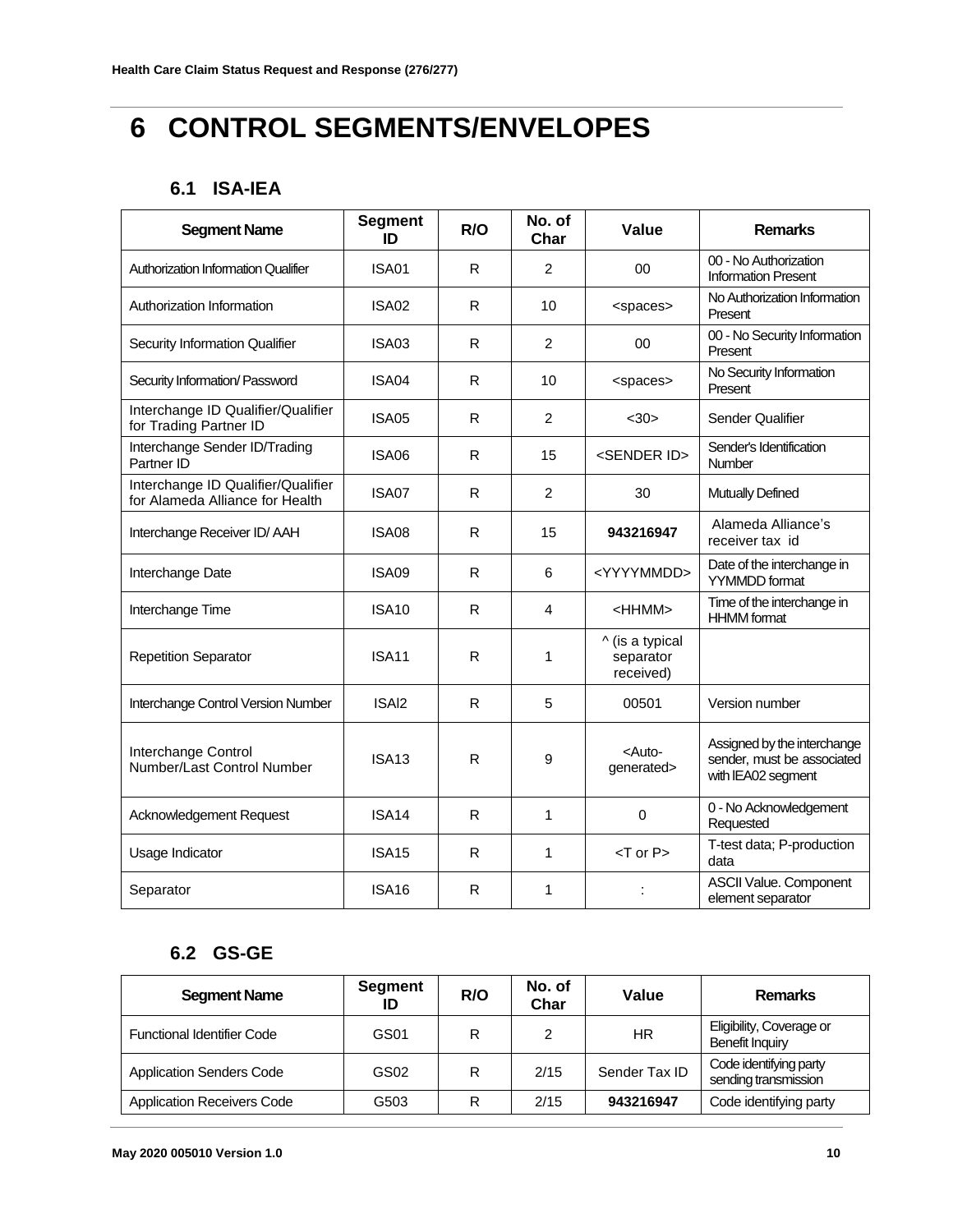## <span id="page-9-0"></span>**6 CONTROL SEGMENTS/ENVELOPES**

## **6.1 ISA-IEA**

<span id="page-9-1"></span>

| <b>Segment Name</b>                                                   | <b>Segment</b><br>ID | R/O          | No. of<br>Char | Value                                     | <b>Remarks</b>                                                                  |
|-----------------------------------------------------------------------|----------------------|--------------|----------------|-------------------------------------------|---------------------------------------------------------------------------------|
| <b>Authorization Information Qualifier</b>                            | ISA01                | R.           | $\overline{2}$ | 00                                        | 00 - No Authorization<br><b>Information Present</b>                             |
| Authorization Information                                             | ISA02                | R.           | 10             | <spaces></spaces>                         | No Authorization Information<br>Present                                         |
| <b>Security Information Qualifier</b>                                 | ISA03                | R            | 2              | 00                                        | 00 - No Security Information<br>Present                                         |
| Security Information/ Password                                        | ISA04                | R.           | 10             | <spaces></spaces>                         | No Security Information<br>Present                                              |
| Interchange ID Qualifier/Qualifier<br>for Trading Partner ID          | <b>ISA05</b>         | R.           | $\overline{2}$ | $30$                                      | Sender Qualifier                                                                |
| Interchange Sender ID/Trading<br>Partner ID                           | ISA06                | R.           | 15             | <sender id=""></sender>                   | Sender's Identification<br>Number                                               |
| Interchange ID Qualifier/Qualifier<br>for Alameda Alliance for Health | ISA07                | R.           | 2              | 30                                        | <b>Mutually Defined</b>                                                         |
| Interchange Receiver ID/AAH                                           | ISA08                | R.           | 15             | 943216947                                 | Alameda Alliance's<br>receiver tax id                                           |
| Interchange Date                                                      | ISA09                | R.           | 6              | <yyyymmdd></yyyymmdd>                     | Date of the interchange in<br><b>YYMMDD</b> format                              |
| Interchange Time                                                      | ISA <sub>10</sub>    | R.           | 4              | <hhmm></hhmm>                             | Time of the interchange in<br><b>HHMM</b> format                                |
| <b>Repetition Separator</b>                                           | <b>ISA11</b>         | $\mathsf{R}$ | 1              | ^ (is a typical<br>separator<br>received) |                                                                                 |
| Interchange Control Version Number                                    | ISAI <sub>2</sub>    | R            | 5              | 00501                                     | Version number                                                                  |
| Interchange Control<br>Number/Last Control Number                     | <b>ISA13</b>         | $\mathsf{R}$ | 9              | <auto-<br>generated&gt;</auto-<br>        | Assigned by the interchange<br>sender, must be associated<br>with IEA02 segment |
| Acknowledgement Request                                               | ISA <sub>14</sub>    | R            | 1              | 0                                         | 0 - No Acknowledgement<br>Requested                                             |
| Usage Indicator                                                       | <b>ISA15</b>         | R            | 1              | $<$ T or P $>$                            | T-test data; P-production<br>data                                               |
| Separator                                                             | <b>ISA16</b>         | R            | $\mathbf{1}$   |                                           | <b>ASCII Value. Component</b><br>element separator                              |

## **6.2 GS-GE**

<span id="page-9-2"></span>

| <b>Segment Name</b>               | Segment<br>ID | R/O | No. of<br>Char | Value         | <b>Remarks</b>                                 |
|-----------------------------------|---------------|-----|----------------|---------------|------------------------------------------------|
| <b>Functional Identifier Code</b> | GS01          | R   | 2              | HR            | Eligibility, Coverage or<br>Benefit Inquiry    |
| <b>Application Senders Code</b>   | GS02          | R   | 2/15           | Sender Tax ID | Code identifying party<br>sending transmission |
| <b>Application Receivers Code</b> | G503          | R   | 2/15           | 943216947     | Code identifying party                         |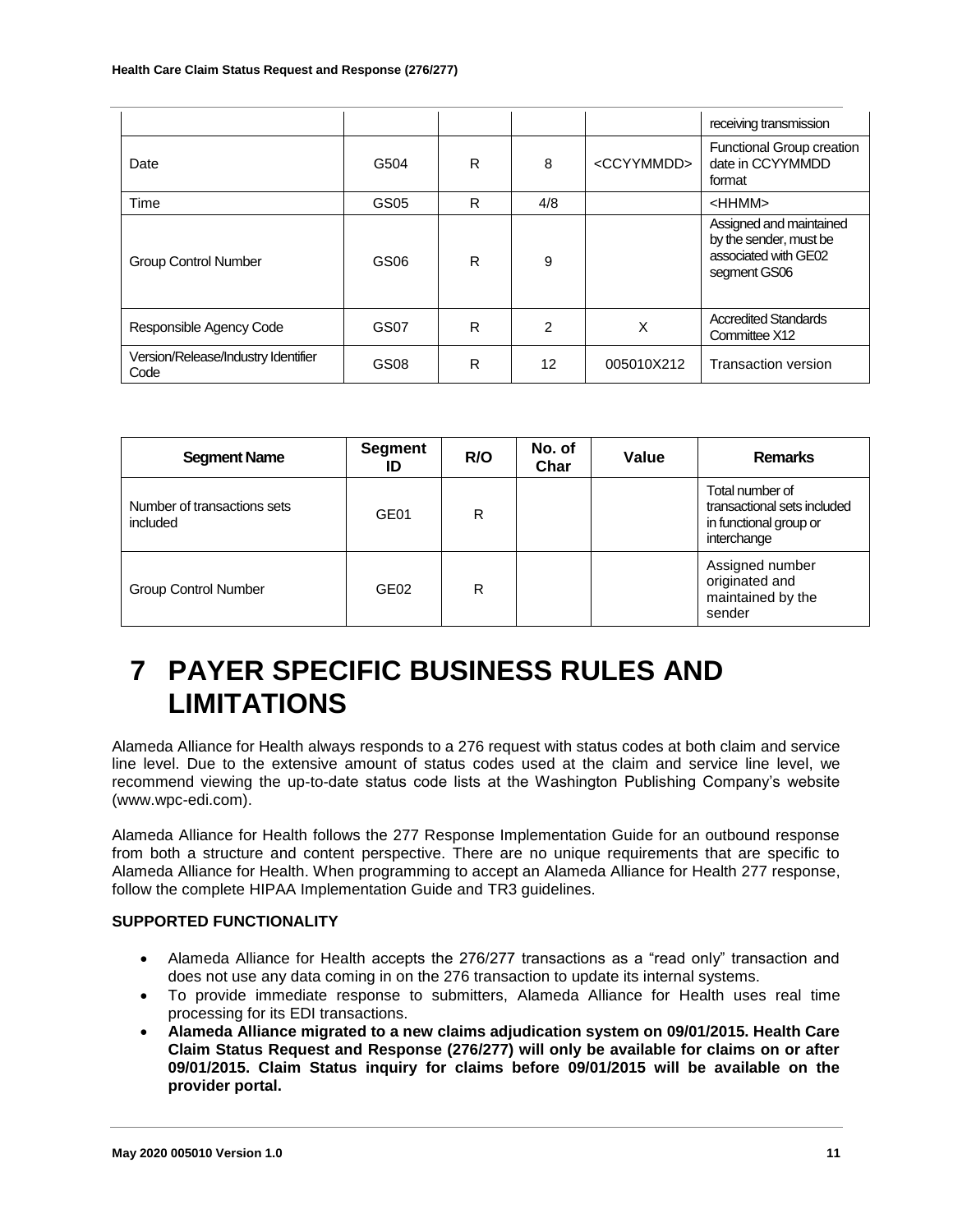|                                             |      |   |                |                       | receiving transmission                                                                    |
|---------------------------------------------|------|---|----------------|-----------------------|-------------------------------------------------------------------------------------------|
| Date                                        | G504 | R | 8              | <ccyymmdd></ccyymmdd> | Functional Group creation<br>date in CCYYMMDD<br>format                                   |
| Time                                        | GS05 | R | 4/8            |                       | <hhmm></hhmm>                                                                             |
| <b>Group Control Number</b>                 | GS06 | R | 9              |                       | Assigned and maintained<br>by the sender, must be<br>associated with GE02<br>segment GS06 |
| Responsible Agency Code                     | GS07 | R | $\mathfrak{p}$ | Χ                     | <b>Accredited Standards</b><br>Committee X12                                              |
| Version/Release/Industry Identifier<br>Code | GS08 | R | 12             | 005010X212            | <b>Transaction version</b>                                                                |

| <b>Segment Name</b>                     | Segment<br>ID    | R/O | No. of<br>Char | Value | <b>Remarks</b>                                                                          |
|-----------------------------------------|------------------|-----|----------------|-------|-----------------------------------------------------------------------------------------|
| Number of transactions sets<br>included | GE01             | R   |                |       | Total number of<br>transactional sets included<br>in functional group or<br>interchange |
| <b>Group Control Number</b>             | GE <sub>02</sub> | R   |                |       | Assigned number<br>originated and<br>maintained by the<br>sender                        |

## <span id="page-10-0"></span>**7 PAYER SPECIFIC BUSINESS RULES AND LIMITATIONS**

Alameda Alliance for Health always responds to a 276 request with status codes at both claim and service line level. Due to the extensive amount of status codes used at the claim and service line level, we recommend viewing the up-to-date status code lists at the Washington Publishing Company's website (www.wpc-edi.com).

Alameda Alliance for Health follows the 277 Response Implementation Guide for an outbound response from both a structure and content perspective. There are no unique requirements that are specific to Alameda Alliance for Health. When programming to accept an Alameda Alliance for Health 277 response, follow the complete HIPAA Implementation Guide and TR3 guidelines.

#### **SUPPORTED FUNCTIONALITY**

- Alameda Alliance for Health accepts the 276/277 transactions as a "read only" transaction and does not use any data coming in on the 276 transaction to update its internal systems.
- To provide immediate response to submitters, Alameda Alliance for Health uses real time processing for its EDI transactions.
- **Alameda Alliance migrated to a new claims adjudication system on 09/01/2015. Health Care Claim Status Request and Response (276/277) will only be available for claims on or after 09/01/2015. Claim Status inquiry for claims before 09/01/2015 will be available on the provider portal.**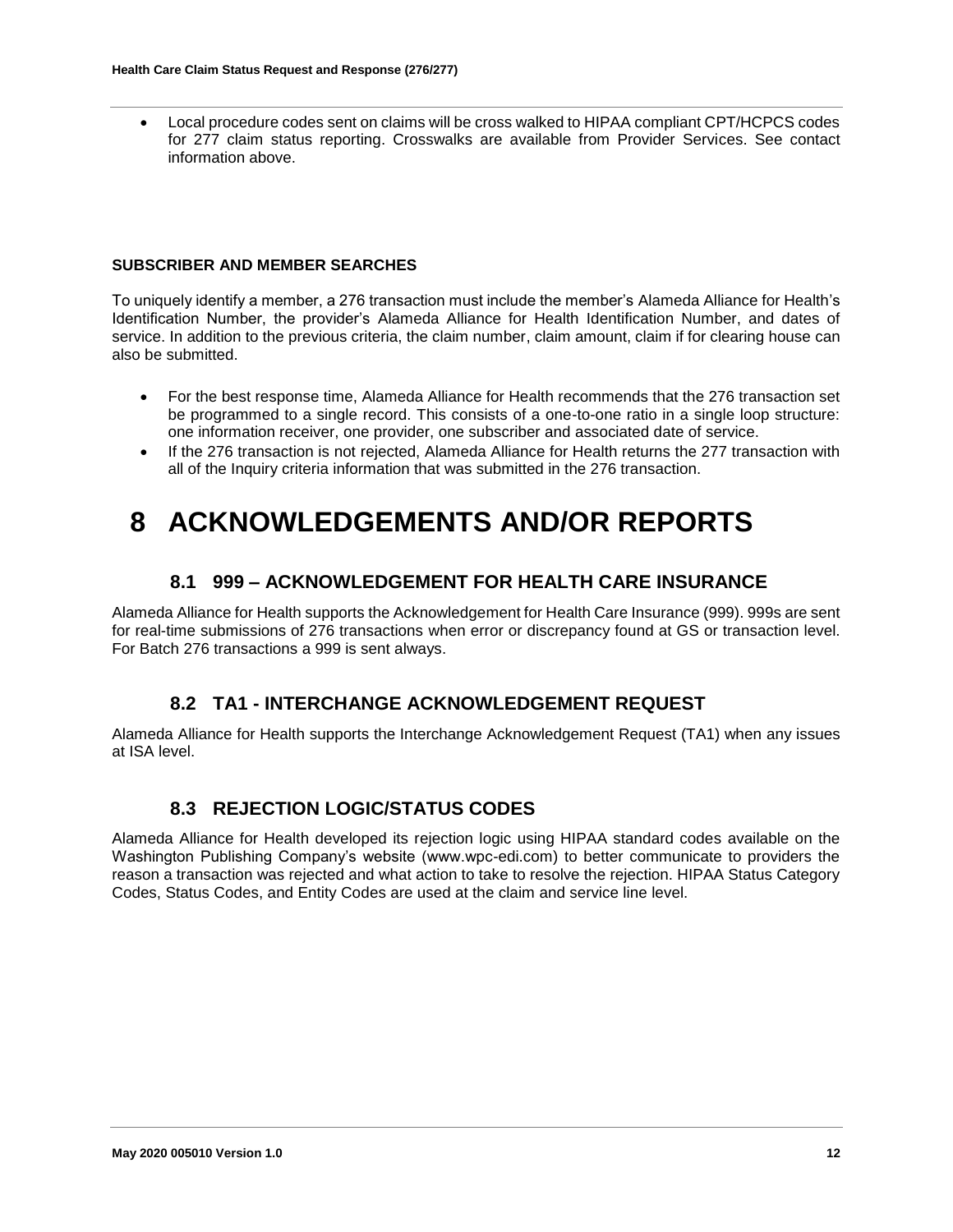Local procedure codes sent on claims will be cross walked to HIPAA compliant CPT/HCPCS codes for 277 claim status reporting. Crosswalks are available from Provider Services. See contact information above.

#### **SUBSCRIBER AND MEMBER SEARCHES**

To uniquely identify a member, a 276 transaction must include the member's Alameda Alliance for Health's Identification Number, the provider's Alameda Alliance for Health Identification Number, and dates of service. In addition to the previous criteria, the claim number, claim amount, claim if for clearing house can also be submitted.

- For the best response time, Alameda Alliance for Health recommends that the 276 transaction set be programmed to a single record. This consists of a one-to-one ratio in a single loop structure: one information receiver, one provider, one subscriber and associated date of service.
- If the 276 transaction is not rejected, Alameda Alliance for Health returns the 277 transaction with all of the Inquiry criteria information that was submitted in the 276 transaction.

## <span id="page-11-0"></span>**8 ACKNOWLEDGEMENTS AND/OR REPORTS**

#### **8.1 999 – ACKNOWLEDGEMENT FOR HEALTH CARE INSURANCE**

<span id="page-11-1"></span>Alameda Alliance for Health supports the Acknowledgement for Health Care Insurance (999). 999s are sent for real-time submissions of 276 transactions when error or discrepancy found at GS or transaction level. For Batch 276 transactions a 999 is sent always.

#### **8.2 TA1 - INTERCHANGE ACKNOWLEDGEMENT REQUEST**

<span id="page-11-2"></span>Alameda Alliance for Health supports the Interchange Acknowledgement Request (TA1) when any issues at ISA level.

#### **8.3 REJECTION LOGIC/STATUS CODES**

<span id="page-11-3"></span>Alameda Alliance for Health developed its rejection logic using HIPAA standard codes available on the Washington Publishing Company's website (www.wpc-edi.com) to better communicate to providers the reason a transaction was rejected and what action to take to resolve the rejection. HIPAA Status Category Codes, Status Codes, and Entity Codes are used at the claim and service line level.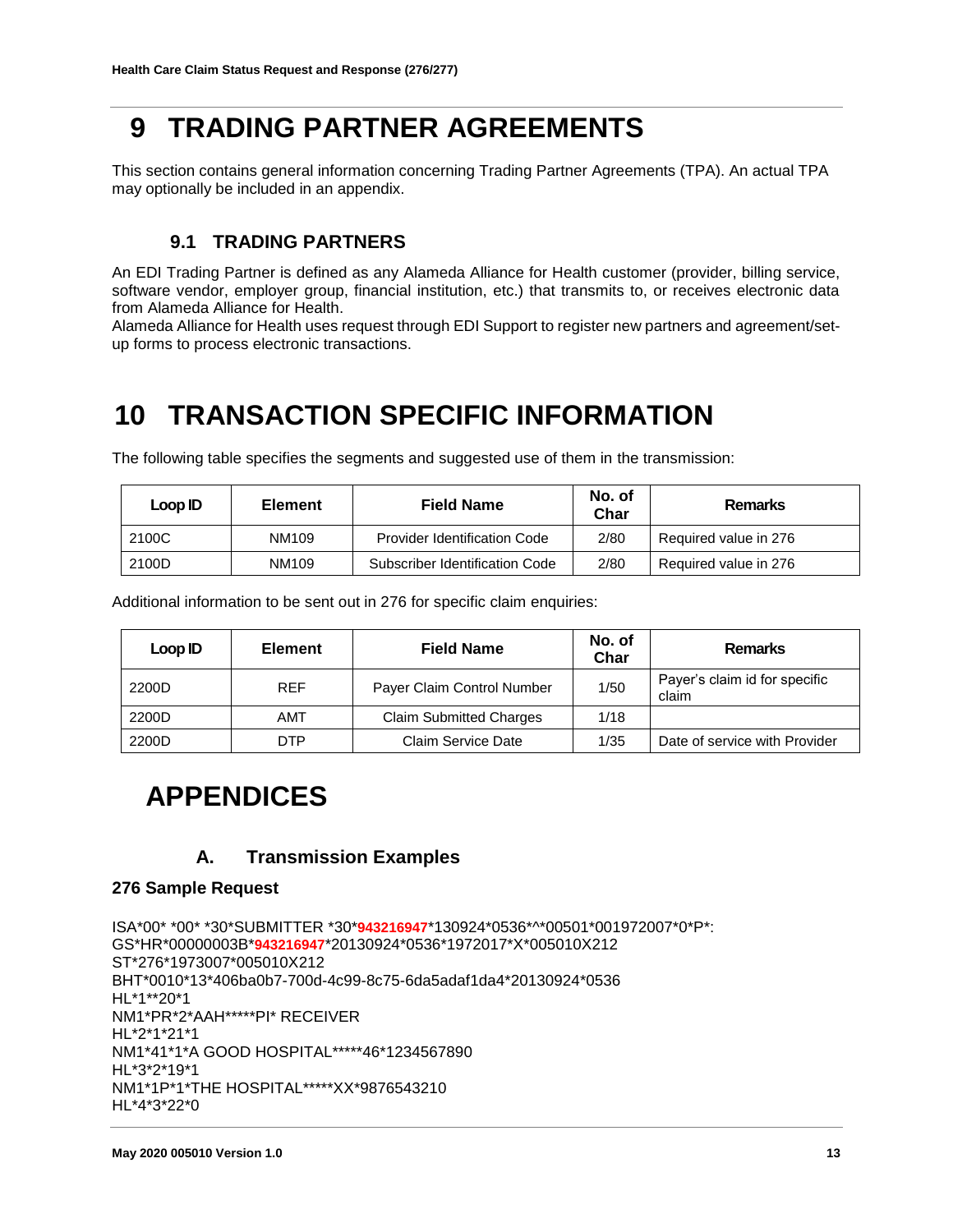## <span id="page-12-0"></span>**9 TRADING PARTNER AGREEMENTS**

This section contains general information concerning Trading Partner Agreements (TPA). An actual TPA may optionally be included in an appendix.

### **9.1 TRADING PARTNERS**

<span id="page-12-1"></span>An EDI Trading Partner is defined as any Alameda Alliance for Health customer (provider, billing service, software vendor, employer group, financial institution, etc.) that transmits to, or receives electronic data from Alameda Alliance for Health.

Alameda Alliance for Health uses request through EDI Support to register new partners and agreement/setup forms to process electronic transactions.

## <span id="page-12-2"></span>**10 TRANSACTION SPECIFIC INFORMATION**

| Loop ID        | <b>Element</b> | <b>Field Name</b>              | No. of<br>Char | <b>Remarks</b>        |
|----------------|----------------|--------------------------------|----------------|-----------------------|
| 2100C<br>NM109 |                | Provider Identification Code   | 2/80           | Required value in 276 |
| 2100D          | NM109          | Subscriber Identification Code | 2/80           | Required value in 276 |

The following table specifies the segments and suggested use of them in the transmission:

Additional information to be sent out in 276 for specific claim enquiries:

| Loop ID | <b>Element</b> | <b>Field Name</b>              | No. of<br>Char | <b>Remarks</b>                         |
|---------|----------------|--------------------------------|----------------|----------------------------------------|
| 2200D   | <b>REF</b>     | Payer Claim Control Number     | 1/50           | Payer's claim id for specific<br>claim |
| 2200D   | AMT            | <b>Claim Submitted Charges</b> | 1/18           |                                        |
| 2200D   | DTP            | Claim Service Date             | 1/35           | Date of service with Provider          |

## <span id="page-12-3"></span>**APPENDICES**

### **A. Transmission Examples**

#### <span id="page-12-4"></span>**276 Sample Request**

```
ISA*00* *00* *30*SUBMITTER *30*943216947*130924*0536*^*00501*001972007*0*P*: 
GS*HR*00000003B*943216947*20130924*0536*1972017*X*005010X212 
ST*276*1973007*005010X212 
BHT*0010*13*406ba0b7-700d-4c99-8c75-6da5adaf1da4*20130924*0536 
HL*1**20*1 
NM1*PR*2*AAH*****PI* RECEIVER 
HL*2*1*21*1 
NM1*41*1*A GOOD HOSPITAL*****46*1234567890 
HL*3*2*19*1 
NM1*1P*1*THE HOSPITAL*****XX*9876543210 
HL*4*3*22*0
```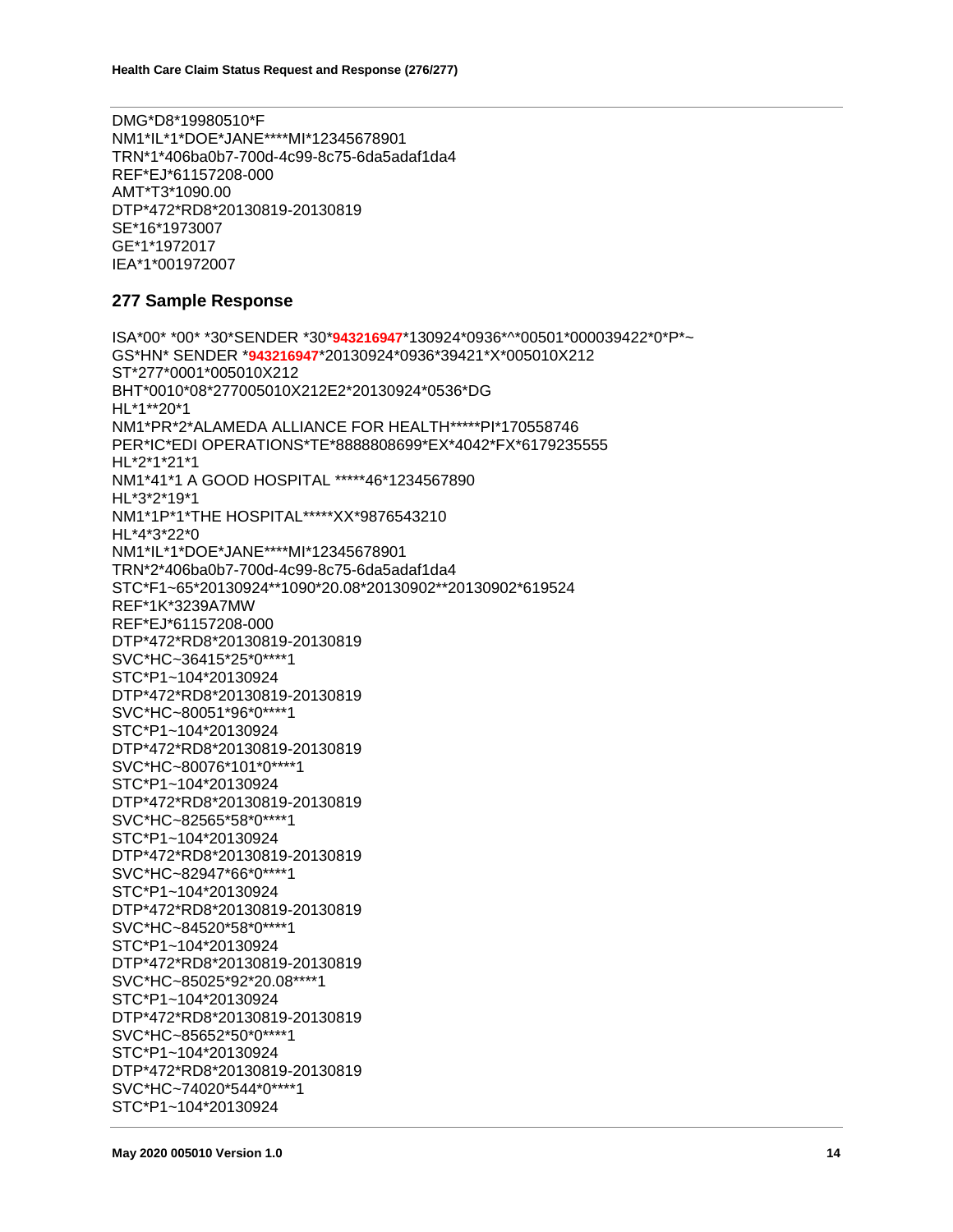DMG\*D8\*19980510\*F NM1\*IL\*1\*DOE\*JANE\*\*\*\*MI\*12345678901 TRN\*1\*406ba0b7-700d-4c99-8c75-6da5adaf1da4 REF\*EJ\*61157208-000 AMT\*T3\*1090.00 DTP\*472\*RD8\*20130819-20130819 SE\*16\*1973007 GE\*1\*1972017 IEA\*1\*001972007

#### **277 Sample Response**

ISA\*00\* \*00\* \*30\*SENDER \*30\***943216947**\*130924\*0936\*^\*00501\*000039422\*0\*P\*~ GS\*HN\* SENDER \***943216947**\*20130924\*0936\*39421\*X\*005010X212 ST\*277\*0001\*005010X212 BHT\*0010\*08\*277005010X212E2\*20130924\*0536\*DG HL\*1\*\*20\*1 NM1\*PR\*2\*ALAMEDA ALLIANCE FOR HEALTH\*\*\*\*\*PI\*170558746 PER\*IC\*EDI OPERATIONS\*TE\*8888808699\*EX\*4042\*FX\*6179235555 HL\*2\*1\*21\*1 NM1\*41\*1 A GOOD HOSPITAL \*\*\*\*\*46\*1234567890 HL\*3\*2\*19\*1 NM1\*1P\*1\*THE HOSPITAL\*\*\*\*\*XX\*9876543210 HL\*4\*3\*22\*0 NM1\*IL\*1\*DOE\*JANE\*\*\*\*MI\*12345678901 TRN\*2\*406ba0b7-700d-4c99-8c75-6da5adaf1da4 STC\*F1~65\*20130924\*\*1090\*20.08\*20130902\*\*20130902\*619524 REF\*1K\*3239A7MW REF\*EJ\*61157208-000 DTP\*472\*RD8\*20130819-20130819 SVC\*HC~36415\*25\*0\*\*\*\*1 STC\*P1~104\*20130924 DTP\*472\*RD8\*20130819-20130819 SVC\*HC~80051\*96\*0\*\*\*\*1 STC\*P1~104\*20130924 DTP\*472\*RD8\*20130819-20130819 SVC\*HC~80076\*101\*0\*\*\*\*1 STC\*P1~104\*20130924 DTP\*472\*RD8\*20130819-20130819 SVC\*HC~82565\*58\*0\*\*\*\*1 STC\*P1~104\*20130924 DTP\*472\*RD8\*20130819-20130819 SVC\*HC~82947\*66\*0\*\*\*\*1 STC\*P1~104\*20130924 DTP\*472\*RD8\*20130819-20130819 SVC\*HC~84520\*58\*0\*\*\*\*1 STC\*P1~104\*20130924 DTP\*472\*RD8\*20130819-20130819 SVC\*HC~85025\*92\*20.08\*\*\*\*1 STC\*P1~104\*20130924 DTP\*472\*RD8\*20130819-20130819 SVC\*HC~85652\*50\*0\*\*\*\*1 STC\*P1~104\*20130924 DTP\*472\*RD8\*20130819-20130819 SVC\*HC~74020\*544\*0\*\*\*\*1 STC\*P1~104\*20130924